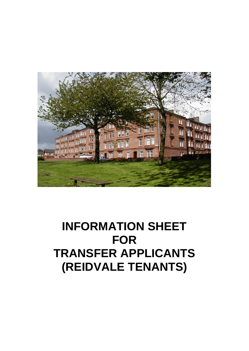

# **INFORMATION SHEET FOR TRANSFER APPLICANTS (REIDVALE TENANTS)**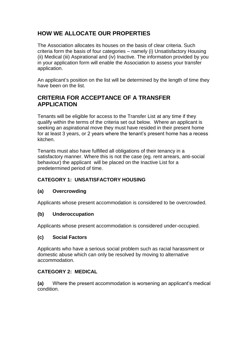# **HOW WE ALLOCATE OUR PROPERTIES**

The Association allocates its houses on the basis of clear criteria. Such criteria form the basis of four categories – namely (i) Unsatisfactory Housing (ii) Medical (iii) Aspirational and (iv) Inactive. The information provided by you in your application form will enable the Association to assess your transfer application.

An applicant's position on the list will be determined by the length of time they have been on the list.

# **CRITERIA FOR ACCEPTANCE OF A TRANSFER APPLICATION**

Tenants will be eligible for access to the Transfer List at any time if they qualify within the terms of the criteria set out below. Where an applicant is seeking an aspirational move they must have resided in their present home for at least 3 years, or 2 years where the tenant's present home has a recess kitchen.

Tenants must also have fulfilled all obligations of their tenancy in a satisfactory manner. Where this is not the case (eg. rent arrears, anti-social behaviour) the applicant will be placed on the Inactive List for a predetermined period of time.

## **CATEGORY 1: UNSATISFACTORY HOUSING**

## **(a) Overcrowding**

Applicants whose present accommodation is considered to be overcrowded.

#### **(b) Underoccupation**

Applicants whose present accommodation is considered under-occupied.

#### **(c) Social Factors**

Applicants who have a serious social problem such as racial harassment or domestic abuse which can only be resolved by moving to alternative accommodation.

## **CATEGORY 2: MEDICAL**

**(a)** Where the present accommodation is worsening an applicant's medical condition.